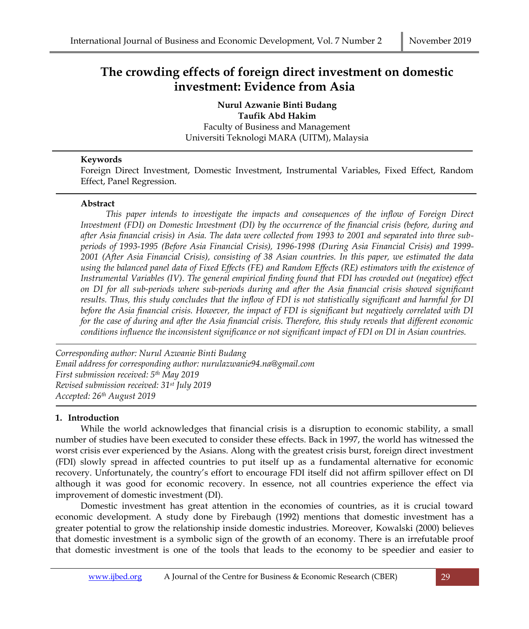# **The crowding effects of foreign direct investment on domestic investment: Evidence from Asia**

**Nurul Azwanie Binti Budang Taufik Abd Hakim** Faculty of Business and Management Universiti Teknologi MARA (UITM), Malaysia

## **Keywords**

Foreign Direct Investment, Domestic Investment, Instrumental Variables, Fixed Effect, Random Effect, Panel Regression.

## **Abstract**

*This paper intends to investigate the impacts and consequences of the inflow of Foreign Direct Investment (FDI) on Domestic Investment (DI) by the occurrence of the financial crisis (before, during and after Asia financial crisis) in Asia. The data were collected from 1993 to 2001 and separated into three subperiods of 1993-1995 (Before Asia Financial Crisis), 1996-1998 (During Asia Financial Crisis) and 1999- 2001 (After Asia Financial Crisis), consisting of 38 Asian countries. In this paper, we estimated the data using the balanced panel data of Fixed Effects (FE) and Random Effects (RE) estimators with the existence of Instrumental Variables (IV). The general empirical finding found that FDI has crowded out (negative) effect on DI for all sub-periods where sub-periods during and after the Asia financial crisis showed significant results. Thus, this study concludes that the inflow of FDI is not statistically significant and harmful for DI before the Asia financial crisis. However, the impact of FDI is significant but negatively correlated with DI for the case of during and after the Asia financial crisis. Therefore, this study reveals that different economic conditions influence the inconsistent significance or not significant impact of FDI on DI in Asian countries.*

*Corresponding author: Nurul Azwanie Binti Budang Email address for corresponding author: nurulazwanie94.na@gmail.com First submission received: 5 th May 2019 Revised submission received: 31st July 2019 Accepted: 26th August 2019*

## **1. Introduction**

While the world acknowledges that financial crisis is a disruption to economic stability, a small number of studies have been executed to consider these effects. Back in 1997, the world has witnessed the worst crisis ever experienced by the Asians. Along with the greatest crisis burst, foreign direct investment (FDI) slowly spread in affected countries to put itself up as a fundamental alternative for economic recovery. Unfortunately, the country's effort to encourage FDI itself did not affirm spillover effect on DI although it was good for economic recovery. In essence, not all countries experience the effect via improvement of domestic investment (DI).

Domestic investment has great attention in the economies of countries, as it is crucial toward economic development. A study done by [Firebaugh \(1992\)](#page-7-0) mentions that domestic investment has a greater potential to grow the relationship inside domestic industries. Moreover, [Kowalski \(2000\)](#page-8-0) believes that domestic investment is a symbolic sign of the growth of an economy. There is an irrefutable proof that domestic investment is one of the tools that leads to the economy to be speedier and easier to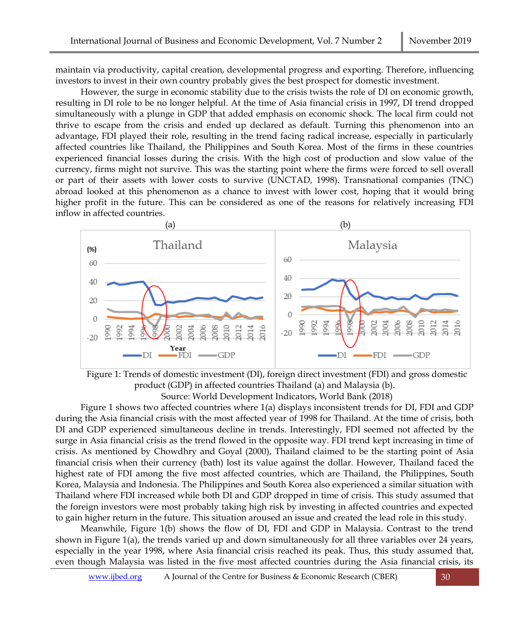maintain via productivity, capital creation, developmental progress and exporting. Therefore, influencing investors to invest in their own country probably gives the best prospect for domestic investment.

However, the surge in economic stability due to the crisis twists the role of DI on economic growth, resulting in DI role to be no longer helpful. At the time of Asia financial crisis in 1997, DI trend dropped simultaneously with a plunge in GDP that added emphasis on economic shock. The local firm could not thrive to escape from the crisis and ended up declared as default. Turning this phenomenon into an advantage, FDI played their role, resulting in the trend facing radical increase, especially in particularly affected countries like Thailand, the Philippines and South Korea. Most of the firms in these countries experienced financial losses during the crisis. With the high cost of production and slow value of the currency, firms might not survive. This was the starting point where the firms were forced to sell overall or part of their assets with lower costs to survive [\(UNCTAD, 1998\)](#page-8-1). Transnational companies (TNC) abroad looked at this phenomenon as a chance to invest with lower cost, hoping that it would bring higher profit in the future. This can be considered as one of the reasons for relatively increasing FDI inflow in affected countries.





Source: World Development Indicators, World Bank (2018)

Figure 1 shows two affected countries where 1(a) displays inconsistent trends for DI, FDI and GDP during the Asia financial crisis with the most affected year of 1998 for Thailand. At the time of crisis, both DI and GDP experienced simultaneous decline in trends. Interestingly, FDI seemed not affected by the surge in Asia financial crisis as the trend flowed in the opposite way. FDI trend kept increasing in time of crisis. As mentioned by [Chowdhry and Goyal \(2000\)](#page-7-1), Thailand claimed to be the starting point of Asia financial crisis when their currency (bath) lost its value against the dollar. However, Thailand faced the highest rate of FDI among the five most affected countries, which are Thailand, the Philippines, South Korea, Malaysia and Indonesia. The Philippines and South Korea also experienced a similar situation with Thailand where FDI increased while both DI and GDP dropped in time of crisis. This study assumed that the foreign investors were most probably taking high risk by investing in affected countries and expected to gain higher return in the future. This situation aroused an issue and created the lead role in this study.

Meanwhile, Figure 1(b) shows the flow of DI, FDI and GDP in Malaysia. Contrast to the trend shown in Figure 1(a), the trends varied up and down simultaneously for all three variables over 24 years, especially in the year 1998, where Asia financial crisis reached its peak. Thus, this study assumed that, even though Malaysia was listed in the five most affected countries during the Asia financial crisis, its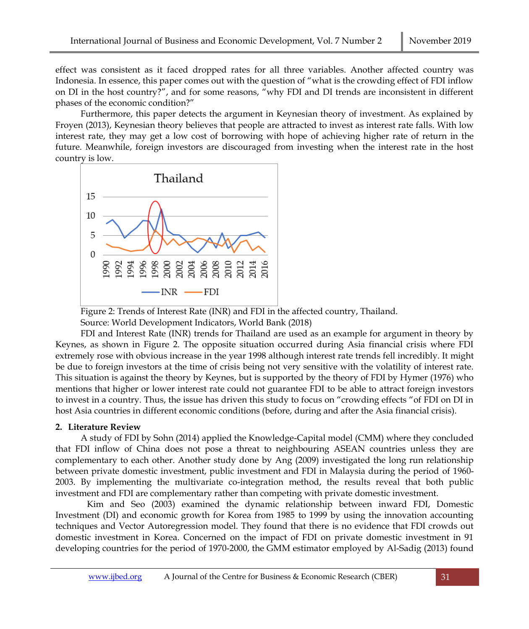effect was consistent as it faced dropped rates for all three variables. Another affected country was Indonesia. In essence, this paper comes out with the question of "what is the crowding effect of FDI inflow on DI in the host country?", and for some reasons, "why FDI and DI trends are inconsistent in different phases of the economic condition?"

Furthermore, this paper detects the argument in Keynesian theory of investment. As explained by [Froyen \(2013\)](#page-7-2), Keynesian theory believes that people are attracted to invest as interest rate falls. With low interest rate, they may get a low cost of borrowing with hope of achieving higher rate of return in the future. Meanwhile, foreign investors are discouraged from investing when the interest rate in the host country is low.



Figure 2: Trends of Interest Rate (INR) and FDI in the affected country, Thailand. Source: World Development Indicators, World Bank (2018)

FDI and Interest Rate (INR) trends for Thailand are used as an example for argument in theory by Keynes, as shown in Figure 2. The opposite situation occurred during Asia financial crisis where FDI extremely rose with obvious increase in the year 1998 although interest rate trends fell incredibly. It might be due to foreign investors at the time of crisis being not very sensitive with the volatility of interest rate. This situation is against the theory by Keynes, but is supported by the theory of FDI by [Hymer \(1976\)](#page-7-3) who mentions that higher or lower interest rate could not guarantee FDI to be able to attract foreign investors to invest in a country. Thus, the issue has driven this study to focus on "crowding effects "of FDI on DI in host Asia countries in different economic conditions (before, during and after the Asia financial crisis).

#### **2. Literature Review**

A study of FDI by [Sohn \(2014\)](#page-8-2) applied the Knowledge-Capital model (CMM) where they concluded that FDI inflow of China does not pose a threat to neighbouring ASEAN countries unless they are complementary to each other. Another study done by [Ang \(2009\)](#page-7-4) investigated the long run relationship between private domestic investment, public investment and FDI in Malaysia during the period of 1960- 2003. By implementing the multivariate co-integration method, the results reveal that both public investment and FDI are complementary rather than competing with private domestic investment.

[Kim and Seo \(2003\)](#page-8-3) examined the dynamic relationship between inward FDI, Domestic Investment (DI) and economic growth for Korea from 1985 to 1999 by using the innovation accounting techniques and Vector Autoregression model. They found that there is no evidence that FDI crowds out domestic investment in Korea. Concerned on the impact of FDI on private domestic investment in 91 developing countries for the period of 1970-2000, the GMM estimator employed by [Al-Sadig \(2013\)](#page-7-5) found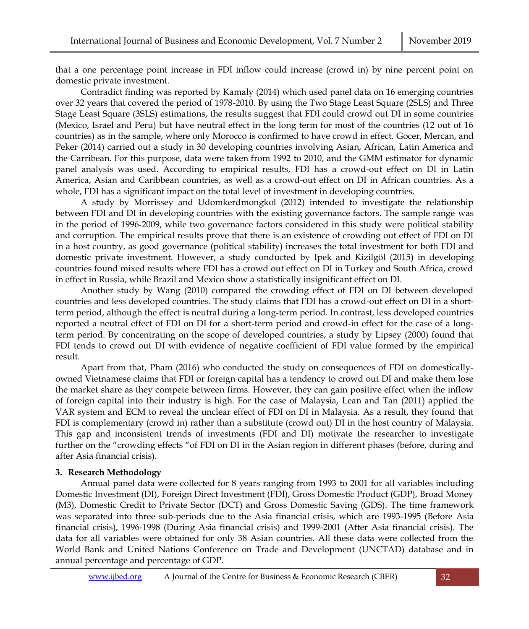that a one percentage point increase in FDI inflow could increase (crowd in) by nine percent point on domestic private investment.

Contradict finding was reported by [Kamaly \(2014\)](#page-7-6) which used panel data on 16 emerging countries over 32 years that covered the period of 1978-2010. By using the Two Stage Least Square (2SLS) and Three Stage Least Square (3SLS) estimations, the results suggest that FDI could crowd out DI in some countries (Mexico, Israel and Peru) but have neutral effect in the long term for most of the countries (12 out of 16 countries) as in the sample, where only Morocco is confirmed to have crowd in effect. [Gocer, Mercan, and](#page-7-7)  [Peker \(2014\)](#page-7-7) carried out a study in 30 developing countries involving Asian, African, Latin America and the Carribean. For this purpose, data were taken from 1992 to 2010, and the GMM estimator for dynamic panel analysis was used. According to empirical results, FDI has a crowd-out effect on DI in Latin America, Asian and Caribbean countries, as well as a crowd-out effect on DI in African countries. As a whole, FDI has a significant impact on the total level of investment in developing countries.

A study by [Morrissey and Udomkerdmongkol \(2012\)](#page-8-4) intended to investigate the relationship between FDI and DI in developing countries with the existing governance factors. The sample range was in the period of 1996-2009, while two governance factors considered in this study were political stability and corruption. The empirical results prove that there is an existence of crowding out effect of FDI on DI in a host country, as good governance (political stability) increases the total investment for both FDI and domestic private investment. However, a study conducted by [Ipek and Kizilgöl \(2015\)](#page-7-8) in developing countries found mixed results where FDI has a crowd out effect on DI in Turkey and South Africa, crowd in effect in Russia, while Brazil and Mexico show a statistically insignificant effect on DI.

Another study by [Wang \(2010\)](#page-8-5) compared the crowding effect of FDI on DI between developed countries and less developed countries. The study claims that FDI has a crowd-out effect on DI in a shortterm period, although the effect is neutral during a long-term period. In contrast, less developed countries reported a neutral effect of FDI on DI for a short-term period and crowd-in effect for the case of a longterm period. By concentrating on the scope of developed countries, a study by [Lipsey \(2000\)](#page-8-6) found that FDI tends to crowd out DI with evidence of negative coefficient of FDI value formed by the empirical result.

Apart from that, [Pham \(2016\)](#page-8-7) who conducted the study on consequences of FDI on domesticallyowned Vietnamese claims that FDI or foreign capital has a tendency to crowd out DI and make them lose the market share as they compete between firms. However, they can gain positive effect when the inflow of foreign capital into their industry is high. For the case of Malaysia, [Lean and Tan \(2011\)](#page-8-8) applied the VAR system and ECM to reveal the unclear effect of FDI on DI in Malaysia. As a result, they found that FDI is complementary (crowd in) rather than a substitute (crowd out) DI in the host country of Malaysia. This gap and inconsistent trends of investments (FDI and DI) motivate the researcher to investigate further on the "crowding effects "of FDI on DI in the Asian region in different phases (before, during and after Asia financial crisis).

### **3. Research Methodology**

Annual panel data were collected for 8 years ranging from 1993 to 2001 for all variables including Domestic Investment (DI), Foreign Direct Investment (FDI), Gross Domestic Product (GDP), Broad Money (M3), Domestic Credit to Private Sector (DCT) and Gross Domestic Saving (GDS). The time framework was separated into three sub-periods due to the Asia financial crisis, which are 1993-1995 (Before Asia financial crisis), 1996-1998 (During Asia financial crisis) and 1999-2001 (After Asia financial crisis). The data for all variables were obtained for only 38 Asian countries. All these data were collected from the World Bank and United Nations Conference on Trade and Development [\(UNCTAD\)](#page-8-1) database and in annual percentage and percentage of GDP.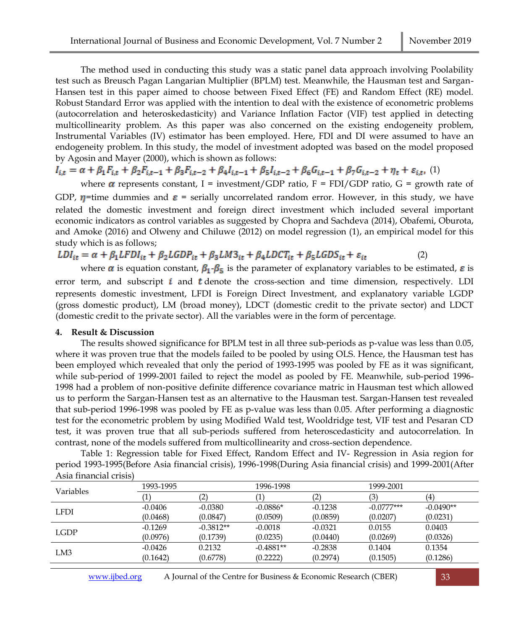The method used in conducting this study was a static panel data approach involving Poolability test such as Breusch Pagan Langarian Multiplier (BPLM) test. Meanwhile, the Hausman test and Sargan-Hansen test in this paper aimed to choose between Fixed Effect (FE) and Random Effect (RE) model. Robust Standard Error was applied with the intention to deal with the existence of econometric problems (autocorrelation and heteroskedasticity) and Variance Inflation Factor (VIF) test applied in detecting multicollinearity problem. As this paper was also concerned on the existing endogeneity problem, Instrumental Variables (IV) estimator has been employed. Here, FDI and DI were assumed to have an endogeneity problem. In this study, the model of investment adopted was based on the model proposed by [Agosin and Mayer \(2000\)](#page-7-9), which is shown as follows:

$$
I_{i,t} = \alpha + \beta_1 F_{i,t} + \beta_2 F_{i,t-1} + \beta_3 F_{i,t-2} + \beta_4 I_{i,t-1} + \beta_5 I_{i,t-2} + \beta_6 G_{i,t-1} + \beta_7 G_{i,t-2} + \eta_t + \varepsilon_{i,t}
$$
 (1)

where  $\alpha$  represents constant, I = investment/GDP ratio, F = FDI/GDP ratio, G = growth rate of GDP,  $\eta$ =time dummies and  $\varepsilon$  = serially uncorrelated random error. However, in this study, we have related the domestic investment and foreign direct investment which included several important economic indicators as control variables as suggested by [Chopra and Sachdeva \(2014\)](#page-7-10), [Obafemi, Oburota,](#page-8-9)  [and Amoke \(2016\)](#page-8-9) and [Olweny and Chiluwe \(2012\)](#page-8-10) on model regression (1), an empirical model for this study which is as follows;

 $LDI_{it} = \alpha + \beta_1 LFDI_{it} + \beta_2 LGDP_{it} + \beta_3 L M3_{it} + \beta_4 L DCT_{it} + \beta_5 LGDS_{it} + \varepsilon_{it}$  (2)

where  $\alpha$  is equation constant,  $\beta_1$   $\beta_5$  is the parameter of explanatory variables to be estimated,  $\varepsilon$  is error term, and subscript  $i$  and  $t$  denote the cross-section and time dimension, respectively. LDI represents domestic investment, LFDI is Foreign Direct Investment, and explanatory variable LGDP (gross domestic product), LM (broad money), LDCT (domestic credit to the private sector) and LDCT (domestic credit to the private sector). All the variables were in the form of percentage.

#### **4. Result & Discussion**

The results showed significance for BPLM test in all three sub-periods as p-value was less than 0.05, where it was proven true that the models failed to be pooled by using OLS. Hence, the Hausman test has been employed which revealed that only the period of 1993-1995 was pooled by FE as it was significant, while sub-period of 1999-2001 failed to reject the model as pooled by FE. Meanwhile, sub-period 1996- 1998 had a problem of non-positive definite difference covariance matric in Hausman test which allowed us to perform the Sargan-Hansen test as an alternative to the Hausman test. Sargan-Hansen test revealed that sub-period 1996-1998 was pooled by FE as p-value was less than 0.05. After performing a diagnostic test for the econometric problem by using Modified Wald test, Wooldridge test, VIF test and Pesaran CD test, it was proven true that all sub-periods suffered from heteroscedasticity and autocorrelation. In contrast, none of the models suffered from multicollinearity and cross-section dependence.

Table 1: Regression table for Fixed Effect, Random Effect and IV- Regression in Asia region for period 1993-1995(Before Asia financial crisis), 1996-1998(During Asia financial crisis) and 1999-2001(After Asia financial crisis)

| <b>Variables</b> | 1993-1995 |             | 1996-1998   |           | 1999-2001    |             |
|------------------|-----------|-------------|-------------|-----------|--------------|-------------|
|                  |           | 2           |             | (2        | (3)          | (4`         |
| <b>LFDI</b>      | $-0.0406$ | $-0.0380$   | $-0.0886*$  | $-0.1238$ | $-0.0777***$ | $-0.0490**$ |
|                  | (0.0468)  | (0.0847)    | (0.0509)    | (0.0859)  | (0.0207)     | (0.0231)    |
| <b>LGDP</b>      | $-0.1269$ | $-0.3812**$ | $-0.0018$   | $-0.0321$ | 0.0155       | 0.0403      |
|                  | (0.0976)  | (0.1739)    | (0.0235)    | (0.0440)  | (0.0269)     | (0.0326)    |
| LM3              | $-0.0426$ | 0.2132      | $-0.4881**$ | $-0.2838$ | 0.1404       | 0.1354      |
|                  | (0.1642)  | (0.6778)    | (0.2222)    | (0.2974)  | (0.1505)     | (0.1286)    |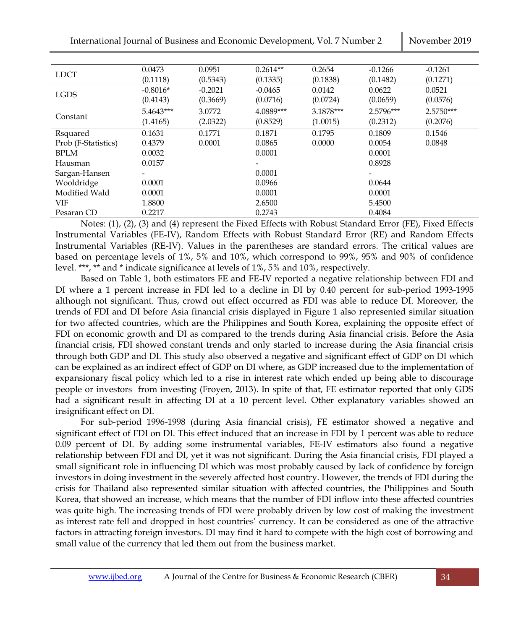| <b>LDCT</b>         | 0.0473                   | 0.0951    | $0.2614**$ | 0.2654    | $-0.1266$ | $-0.1261$   |
|---------------------|--------------------------|-----------|------------|-----------|-----------|-------------|
|                     | (0.1118)                 | (0.5343)  | (0.1335)   | (0.1838)  | (0.1482)  | (0.1271)    |
| <b>LGDS</b>         | $-0.8016*$               | $-0.2021$ | $-0.0465$  | 0.0142    | 0.0622    | 0.0521      |
|                     | (0.4143)                 | (0.3669)  | (0.0716)   | (0.0724)  | (0.0659)  | (0.0576)    |
| Constant            | 5.4643***                | 3.0772    | 4.0889***  | 3.1878*** | 2.5796*** | $2.5750***$ |
|                     | (1.4165)                 | (2.0322)  | (0.8529)   | (1.0015)  | (0.2312)  | (0.2076)    |
| Rsquared            | 0.1631                   | 0.1771    | 0.1871     | 0.1795    | 0.1809    | 0.1546      |
| Prob (F-Statistics) | 0.4379                   | 0.0001    | 0.0865     | 0.0000    | 0.0054    | 0.0848      |
| <b>BPLM</b>         | 0.0032                   |           | 0.0001     |           | 0.0001    |             |
| Hausman             | 0.0157                   |           |            |           | 0.8928    |             |
| Sargan-Hansen       | $\overline{\phantom{0}}$ |           | 0.0001     |           |           |             |
| Wooldridge          | 0.0001                   |           | 0.0966     |           | 0.0644    |             |
| Modified Wald       | 0.0001                   |           | 0.0001     |           | 0.0001    |             |
| <b>VIF</b>          | 1.8800                   |           | 2.6500     |           | 5.4500    |             |
| Pesaran CD          | 0.2217                   |           | 0.2743     |           | 0.4084    |             |

Notes: (1), (2), (3) and (4) represent the Fixed Effects with Robust Standard Error (FE), Fixed Effects Instrumental Variables (FE-IV), Random Effects with Robust Standard Error (RE) and Random Effects Instrumental Variables (RE-IV). Values in the parentheses are standard errors. The critical values are based on percentage levels of 1%, 5% and 10%, which correspond to 99%, 95% and 90% of confidence level. \*\*\*, \*\* and \* indicate significance at levels of 1%, 5% and 10%, respectively.

Based on Table 1, both estimators FE and FE-IV reported a negative relationship between FDI and DI where a 1 percent increase in FDI led to a decline in DI by 0.40 percent for sub-period 1993-1995 although not significant. Thus, crowd out effect occurred as FDI was able to reduce DI. Moreover, the trends of FDI and DI before Asia financial crisis displayed in Figure 1 also represented similar situation for two affected countries, which are the Philippines and South Korea, explaining the opposite effect of FDI on economic growth and DI as compared to the trends during Asia financial crisis. Before the Asia financial crisis, FDI showed constant trends and only started to increase during the Asia financial crisis through both GDP and DI. This study also observed a negative and significant effect of GDP on DI which can be explained as an indirect effect of GDP on DI where, as GDP increased due to the implementation of expansionary fiscal policy which led to a rise in interest rate which ended up being able to discourage people or investors from investing [\(Froyen, 2013\)](#page-7-2). In spite of that, FE estimator reported that only GDS had a significant result in affecting DI at a 10 percent level. Other explanatory variables showed an insignificant effect on DI.

For sub-period 1996-1998 (during Asia financial crisis), FE estimator showed a negative and significant effect of FDI on DI. This effect induced that an increase in FDI by 1 percent was able to reduce 0.09 percent of DI. By adding some instrumental variables, FE-IV estimators also found a negative relationship between FDI and DI, yet it was not significant. During the Asia financial crisis, FDI played a small significant role in influencing DI which was most probably caused by lack of confidence by foreign investors in doing investment in the severely affected host country. However, the trends of FDI during the crisis for Thailand also represented similar situation with affected countries, the Philippines and South Korea, that showed an increase, which means that the number of FDI inflow into these affected countries was quite high. The increasing trends of FDI were probably driven by low cost of making the investment as interest rate fell and dropped in host countries' currency. It can be considered as one of the attractive factors in attracting foreign investors. DI may find it hard to compete with the high cost of borrowing and small value of the currency that led them out from the business market.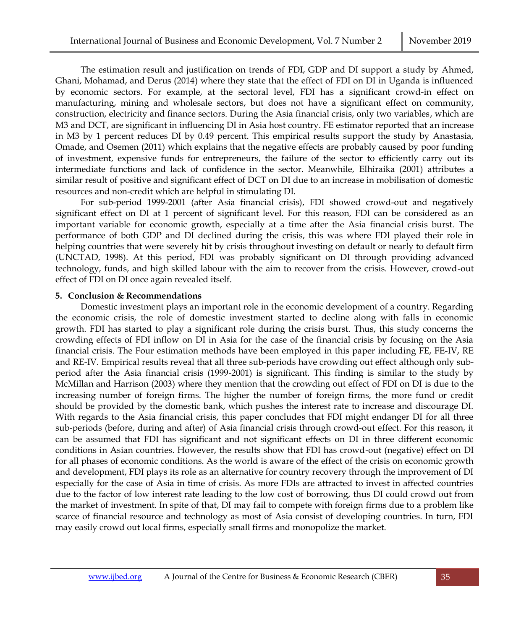The estimation result and justification on trends of FDI, GDP and DI support a study by [Ahmed,](#page-7-11)  [Ghani, Mohamad, and Derus \(2014\)](#page-7-11) where they state that the effect of FDI on DI in Uganda is influenced by economic sectors. For example, at the sectoral level, FDI has a significant crowd-in effect on manufacturing, mining and wholesale sectors, but does not have a significant effect on community, construction, electricity and finance sectors. During the Asia financial crisis, only two variables, which are M3 and DCT, are significant in influencing DI in Asia host country. FE estimator reported that an increase in M3 by 1 percent reduces DI by 0.49 percent. This empirical results support the study by [Anastasia,](#page-7-12)  [Omade, and Osemen \(2011\)](#page-7-12) which explains that the negative effects are probably caused by poor funding of investment, expensive funds for entrepreneurs, the failure of the sector to efficiently carry out its intermediate functions and lack of confidence in the sector. Meanwhile, [Elhiraika \(2001\)](#page-7-13) attributes a similar result of positive and significant effect of DCT on DI due to an increase in mobilisation of domestic resources and non-credit which are helpful in stimulating DI.

For sub-period 1999-2001 (after Asia financial crisis), FDI showed crowd-out and negatively significant effect on DI at 1 percent of significant level. For this reason, FDI can be considered as an important variable for economic growth, especially at a time after the Asia financial crisis burst. The performance of both GDP and DI declined during the crisis, this was where FDI played their role in helping countries that were severely hit by crisis throughout investing on default or nearly to default firm [\(UNCTAD, 1998\)](#page-8-1). At this period, FDI was probably significant on DI through providing advanced technology, funds, and high skilled labour with the aim to recover from the crisis. However, crowd-out effect of FDI on DI once again revealed itself.

#### **5. Conclusion & Recommendations**

Domestic investment plays an important role in the economic development of a country. Regarding the economic crisis, the role of domestic investment started to decline along with falls in economic growth. FDI has started to play a significant role during the crisis burst. Thus, this study concerns the crowding effects of FDI inflow on DI in Asia for the case of the financial crisis by focusing on the Asia financial crisis. The Four estimation methods have been employed in this paper including FE, FE-IV, RE and RE-IV. Empirical results reveal that all three sub-periods have crowding out effect although only subperiod after the Asia financial crisis (1999-2001) is significant. This finding is similar to the study by [McMillan and Harrison \(2003\)](#page-8-11) where they mention that the crowding out effect of FDI on DI is due to the increasing number of foreign firms. The higher the number of foreign firms, the more fund or credit should be provided by the domestic bank, which pushes the interest rate to increase and discourage DI. With regards to the Asia financial crisis, this paper concludes that FDI might endanger DI for all three sub-periods (before, during and after) of Asia financial crisis through crowd-out effect. For this reason, it can be assumed that FDI has significant and not significant effects on DI in three different economic conditions in Asian countries. However, the results show that FDI has crowd-out (negative) effect on DI for all phases of economic conditions. As the world is aware of the effect of the crisis on economic growth and development, FDI plays its role as an alternative for country recovery through the improvement of DI especially for the case of Asia in time of crisis. As more FDIs are attracted to invest in affected countries due to the factor of low interest rate leading to the low cost of borrowing, thus DI could crowd out from the market of investment. In spite of that, DI may fail to compete with foreign firms due to a problem like scarce of financial resource and technology as most of Asia consist of developing countries. In turn, FDI may easily crowd out local firms, especially small firms and monopolize the market.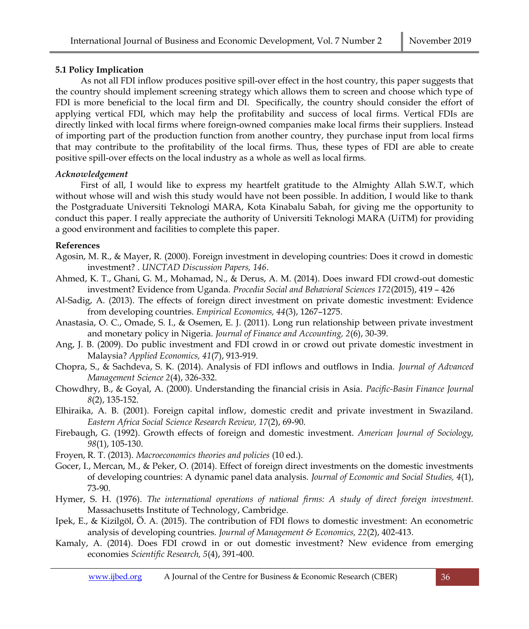## **5.1 Policy Implication**

As not all FDI inflow produces positive spill-over effect in the host country, this paper suggests that the country should implement screening strategy which allows them to screen and choose which type of FDI is more beneficial to the local firm and DI. Specifically, the country should consider the effort of applying vertical FDI, which may help the profitability and success of local firms. Vertical FDIs are directly linked with local firms where foreign-owned companies make local firms their suppliers. Instead of importing part of the production function from another country, they purchase input from local firms that may contribute to the profitability of the local firms. Thus, these types of FDI are able to create positive spill-over effects on the local industry as a whole as well as local firms.

## *Acknowledgement*

First of all, I would like to express my heartfelt gratitude to the Almighty Allah S.W.T, which without whose will and wish this study would have not been possible. In addition, I would like to thank the Postgraduate Universiti Teknologi MARA, Kota Kinabalu Sabah, for giving me the opportunity to conduct this paper. I really appreciate the authority of Universiti Teknologi MARA (UiTM) for providing a good environment and facilities to complete this paper.

## **References**

- <span id="page-7-9"></span>Agosin, M. R., & Mayer, R. (2000). Foreign investment in developing countries: Does it crowd in domestic investment? . *UNCTAD Discussion Papers, 146*.
- <span id="page-7-11"></span>Ahmed, K. T., Ghani, G. M., Mohamad, N., & Derus, A. M. (2014). Does inward FDI crowd-out domestic investment? Evidence from Uganda. *Procedia Social and Behavioral Sciences 172*(2015), 419 – 426
- <span id="page-7-5"></span>Al-Sadig, A. (2013). The effects of foreign direct investment on private domestic investment: Evidence from developing countries. *Empirical Economics, 44*(3), 1267–1275.
- <span id="page-7-12"></span>Anastasia, O. C., Omade, S. I., & Osemen, E. J. (2011). Long run relationship between private investment and monetary policy in Nigeria. *Journal of Finance and Accounting, 2*(6), 30-39.
- <span id="page-7-4"></span>Ang, J. B. (2009). Do public investment and FDI crowd in or crowd out private domestic investment in Malaysia? *Applied Economics, 41*(7), 913-919.
- <span id="page-7-10"></span>Chopra, S., & Sachdeva, S. K. (2014). Analysis of FDI inflows and outflows in India. *Journal of Advanced Management Science 2*(4), 326-332.
- <span id="page-7-1"></span>Chowdhry, B., & Goyal, A. (2000). Understanding the financial crisis in Asia. *Pacific-Basin Finance Journal 8*(2), 135-152.
- <span id="page-7-13"></span>Elhiraika, A. B. (2001). Foreign capital inflow, domestic credit and private investment in Swaziland. *Eastern Africa Social Science Research Review, 17*(2), 69-90.
- <span id="page-7-0"></span>Firebaugh, G. (1992). Growth effects of foreign and domestic investment. *American Journal of Sociology, 98*(1), 105-130.
- <span id="page-7-2"></span>Froyen, R. T. (2013). *Macroeconomics theories and policies* (10 ed.).
- <span id="page-7-7"></span>Gocer, I., Mercan, M., & Peker, O. (2014). Effect of foreign direct investments on the domestic investments of developing countries: A dynamic panel data analysis. *Journal of Economic and Social Studies, 4*(1), 73-90.
- <span id="page-7-3"></span>Hymer, S. H. (1976). *The international operations of national firms: A study of direct foreign investment.* Massachusetts Institute of Technology, Cambridge.
- <span id="page-7-8"></span>Ipek, E., & Kizilgöl, Ö. A. (2015). The contribution of FDI flows to domestic investment: An econometric analysis of developing countries. *Journal of Management & Economics, 22*(2), 402-413.
- <span id="page-7-6"></span>Kamaly, A. (2014). Does FDI crowd in or out domestic investment? New evidence from emerging economies *Scientific Research, 5*(4), 391-400.